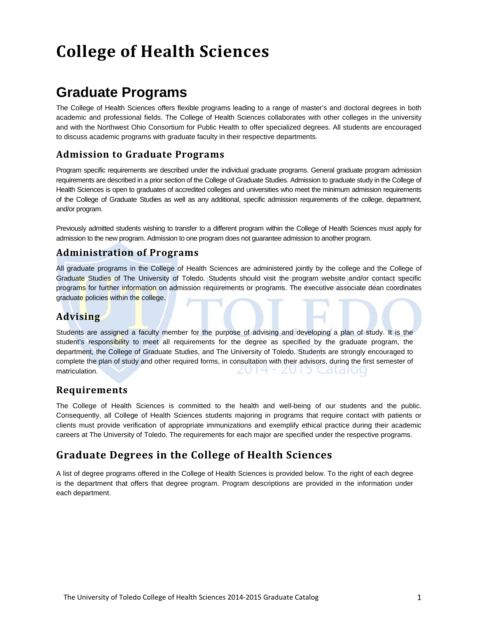# **College of Health Sciences**

# **Graduate Programs**

The College of Health Sciences offers flexible programs leading to a range of master's and doctoral degrees in both academic and professional fields. The College of Health Sciences collaborates with other colleges in the university and with the Northwest Ohio Consortium for Public Health to offer specialized degrees. All students are encouraged to discuss academic programs with graduate faculty in their respective departments.

# **Admission to Graduate Programs**

Program specific requirements are described under the individual graduate programs. General graduate program admission requirements are described in a prior section of the College of Graduate Studies. Admission to graduate study in the College of Health Sciences is open to graduates of accredited colleges and universities who meet the minimum admission requirements of the College of Graduate Studies as well as any additional, specific admission requirements of the college, department, and/or program.

Previously admitted students wishing to transfer to a different program within the College of Health Sciences must apply for admission to the new program. Admission to one program does not guarantee admission to another program.

## **Administration of Programs**

All graduate programs in the College of Health Sciences are administered jointly by the college and the College of Graduate Studies of The University of Toledo. Students should visit the program website and/or contact specific programs for further information on admission requirements or programs. The executive associate dean coordinates graduate policies within the college.

# **Advising**

Students are assigned a faculty member for the purpose of advising and developing a plan of study. It is the student's responsibility to meet all requirements for the degree as specified by the graduate program, the department, the College of Graduate Studies, and The University of Toledo. Students are strongly encouraged to complete the plan of study and other required forms, in consultation with their advisors, during the first semester of matriculation. ZUT4 = ZUT3 CdtdI00

### **Requirements**

The College of Health Sciences is committed to the health and well-being of our students and the public. Consequently, all College of Health Sciences students majoring in programs that require contact with patients or clients must provide verification of appropriate immunizations and exemplify ethical practice during their academic careers at The University of Toledo. The requirements for each major are specified under the respective programs.

# **Graduate Degrees in the College of Health Sciences**

A list of degree programs offered in the College of Health Sciences is provided below. To the right of each degree is the department that offers that degree program. Program descriptions are provided in the information under each department.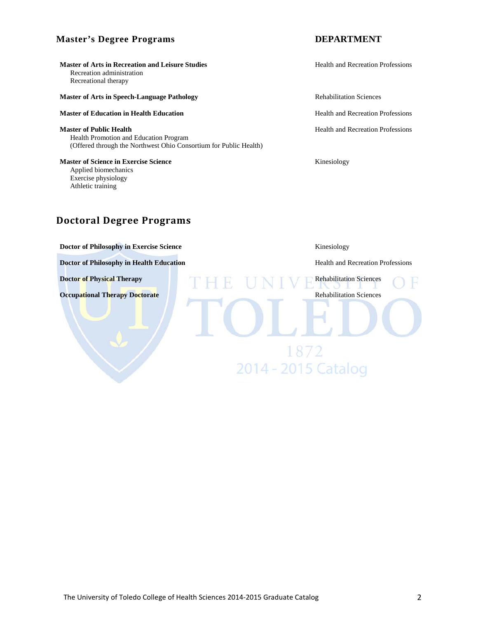#### **Master's Degree Programs DEPARTMENT**

**Master of Arts in Recreation and Leisure Studies** <br>
Health and Recreation Professions Recreation administration Recreational therapy

#### **Master of Arts in Speech-Language Pathology <b>Rehabilitation Sciences** Rehabilitation Sciences

#### **Master of Education in Health Education Health Education Health and Recreation Professions**

**Master of Public Health Health Health Health Health Health Health Health Health Health Health Health Health Health Health Health Health Health Health Health Health Health Health** Health Promotion and Education Program (Offered through the Northwest Ohio Consortium for Public Health)

**Master of Science in Exercise Science Kinesiology Kinesiology** Applied biomechanics Exercise physiology Athletic training

# **Doctoral Degree Programs**

**Doctor of Philosophy in Exercise Science** Kinesiology

**Doctor of Philosophy in Health Education Health and Recreation Professions** 

**Doctor of Physical Therapy** Rehabilitation Sciences

**Occupational Therapy Doctorate** Rehabilitation Sciences

1872

2014 - 2015 Catalog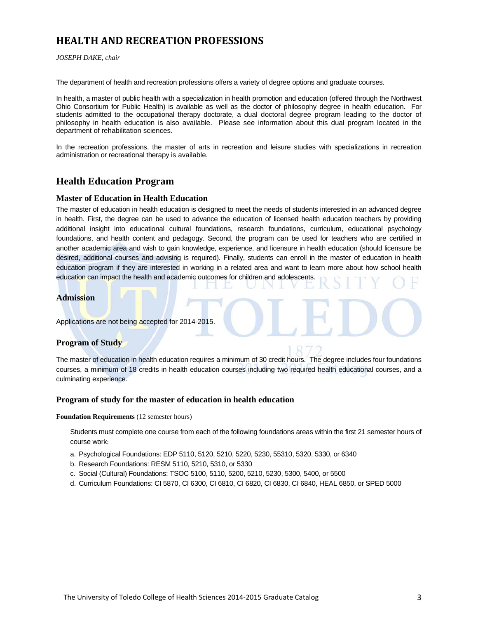# **HEALTH AND RECREATION PROFESSIONS**

#### *JOSEPH DAKE, chair*

The department of health and recreation professions offers a variety of degree options and graduate courses.

In health, a master of public health with a specialization in health promotion and education (offered through the Northwest Ohio Consortium for Public Health) is available as well as the doctor of philosophy degree in health education. For students admitted to the occupational therapy doctorate, a dual doctoral degree program leading to the doctor of philosophy in health education is also available. Please see information about this dual program located in the department of rehabilitation sciences.

In the recreation professions, the master of arts in recreation and leisure studies with specializations in recreation administration or recreational therapy is available.

### **Health Education Program**

#### **Master of Education in Health Education**

The master of education in health education is designed to meet the needs of students interested in an advanced degree in health. First, the degree can be used to advance the education of licensed health education teachers by providing additional insight into educational cultural foundations, research foundations, curriculum, educational psychology foundations, and health content and pedagogy. Second, the program can be used for teachers who are certified in another academic area and wish to gain knowledge, experience, and licensure in health education (should licensure be desired, additional courses and advising is required). Finally, students can enroll in the master of education in health education program if they are interested in working in a related area and want to learn more about how school health education can impact the health and academic outcomes for children and adolescents.

#### **Admission**

Applications are not being accepted for 2014-2015.

#### **Program of Study**

The master of education in health education requires a minimum of 30 credit hours. The degree includes four foundations courses, a minimum of 18 credits in health education courses including two required health educational courses, and a culminating experience.

#### **Program of study for the master of education in health education**

**Foundation Requirements** (12 semester hours)

Students must complete one course from each of the following foundations areas within the first 21 semester hours of course work:

- a. Psychological Foundations: EDP 5110, 5120, 5210, 5220, 5230, 55310, 5320, 5330, or 6340
- b. Research Foundations: RESM 5110, 5210, 5310, or 5330
- c. Social (Cultural) Foundations: TSOC 5100, 5110, 5200, 5210, 5230, 5300, 5400, or 5500
- d. Curriculum Foundations: CI 5870, CI 6300, CI 6810, CI 6820, CI 6830, CI 6840, HEAL 6850, or SPED 5000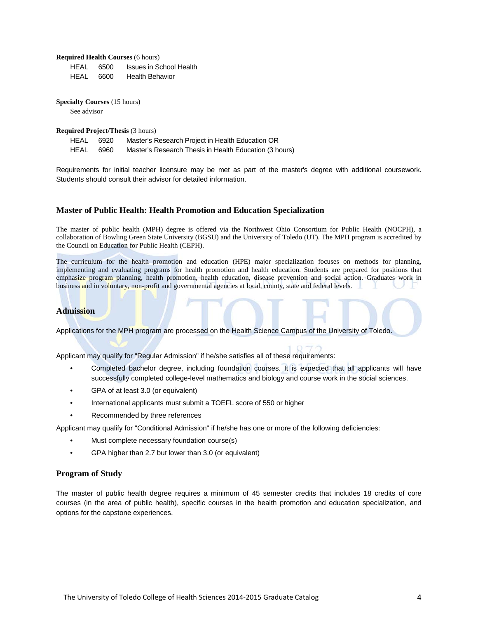**Required Health Courses** (6 hours)

| HFAL | 6500 | Issues in School Health |
|------|------|-------------------------|
| HEAL | 6600 | <b>Health Behavior</b>  |

**Specialty Courses** (15 hours) See advisor

**Required Project/Thesis** (3 hours)

| HEAL | 6920 | Master's Research Project in Health Education OR       |
|------|------|--------------------------------------------------------|
| HEAL | 6960 | Master's Research Thesis in Health Education (3 hours) |

Requirements for initial teacher licensure may be met as part of the master's degree with additional coursework. Students should consult their advisor for detailed information.

#### **Master of Public Health: Health Promotion and Education Specialization**

The master of public health (MPH) degree is offered via the Northwest Ohio Consortium for Public Health (NOCPH), a collaboration of Bowling Green State University (BGSU) and the University of Toledo (UT). The MPH program is accredited by the Council on Education for Public Health (CEPH).

The curriculum for the health promotion and education (HPE) major specialization focuses on methods for planning, implementing and evaluating programs for health promotion and health education. Students are prepared for positions that emphasize program planning, health promotion, health education, disease prevention and social action. Graduates work in business and in voluntary, non-profit and governmental agencies at local, county, state and federal levels.

#### **Admission**

Applications for the MPH program are processed on the Health Science Campus of the University of Toledo.

Applicant may qualify for "Regular Admission" if he/she satisfies all of these requirements:

- Completed bachelor degree, including foundation courses. It is expected that all applicants will have successfully completed college-level mathematics and biology and course work in the social sciences.
- GPA of at least 3.0 (or equivalent)
- International applicants must submit a TOEFL score of 550 or higher
- Recommended by three references

Applicant may qualify for "Conditional Admission" if he/she has one or more of the following deficiencies:

- Must complete necessary foundation course(s)
- GPA higher than 2.7 but lower than 3.0 (or equivalent)

#### **Program of Study**

The master of public health degree requires a minimum of 45 semester credits that includes 18 credits of core courses (in the area of public health), specific courses in the health promotion and education specialization, and options for the capstone experiences.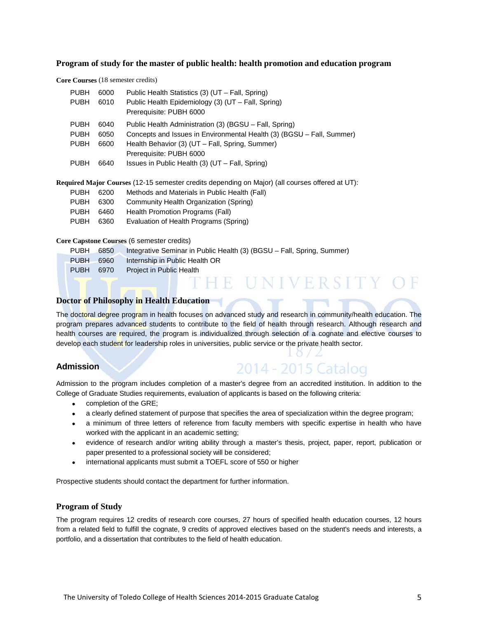#### **Program of study for the master of public health: health promotion and education program**

**Core Courses** (18 semester credits)

| <b>PUBH</b><br><b>PUBH</b> | 6000<br>6010 | Public Health Statistics (3) (UT – Fall, Spring)<br>Public Health Epidemiology (3) (UT – Fall, Spring) |
|----------------------------|--------------|--------------------------------------------------------------------------------------------------------|
|                            |              | Prerequisite: PUBH 6000                                                                                |
| <b>PUBH</b>                | 6040         | Public Health Administration (3) (BGSU – Fall, Spring)                                                 |
| <b>PUBH</b>                | 6050         | Concepts and Issues in Environmental Health (3) (BGSU – Fall, Summer)                                  |
| <b>PUBH</b>                | 6600         | Health Behavior (3) (UT - Fall, Spring, Summer)                                                        |
|                            |              | Prerequisite: PUBH 6000                                                                                |
| <b>PUBH</b>                | 6640         | Issues in Public Health $(3)$ (UT – Fall, Spring)                                                      |
|                            |              |                                                                                                        |

**Required Major Courses** (12-15 semester credits depending on Major) (all courses offered at UT):

| PUBH      | 6200 | Methods and Materials in Public Health (Fall) |  |
|-----------|------|-----------------------------------------------|--|
| PUBH 6300 |      | Community Health Organization (Spring)        |  |
| PUBH      | 6460 | Health Promotion Programs (Fall)              |  |

PUBH 6360 Evaluation of Health Programs (Spring)

#### **Core Capstone Courses** (6 semester credits)

| <b>PUBH</b> | 6850 | Integrative Seminar in Public Health (3) (BGSU – Fall, Spring, Summer) |
|-------------|------|------------------------------------------------------------------------|
| <b>PUBH</b> | 6960 | Internship in Public Health OR                                         |
| <b>PUBH</b> | 6970 | Project in Public Health                                               |
|             |      | IN IVERSITY -                                                          |

#### **Doctor of Philosophy in Health Education**

The doctoral degree program in health focuses on advanced study and research in community/health education. The program prepares advanced students to contribute to the field of health through research. Although research and health courses are required, the program is individualized through selection of a cognate and elective courses to develop each student for leadership roles in universities, public service or the private health sector.

#### **Admission**

# 2014 - 2015 Catalog

Admission to the program includes completion of a master's degree from an accredited institution. In addition to the College of Graduate Studies requirements, evaluation of applicants is based on the following criteria:

- completion of the GRE;
- a clearly defined statement of purpose that specifies the area of specialization within the degree program;
- a minimum of three letters of reference from faculty members with specific expertise in health who have worked with the applicant in an academic setting;
- evidence of research and/or writing ability through a master's thesis, project, paper, report, publication or paper presented to a professional society will be considered;
- international applicants must submit a TOEFL score of 550 or higher

Prospective students should contact the department for further information.

#### **Program of Study**

The program requires 12 credits of research core courses, 27 hours of specified health education courses, 12 hours from a related field to fulfill the cognate, 9 credits of approved electives based on the student's needs and interests, a portfolio, and a dissertation that contributes to the field of health education.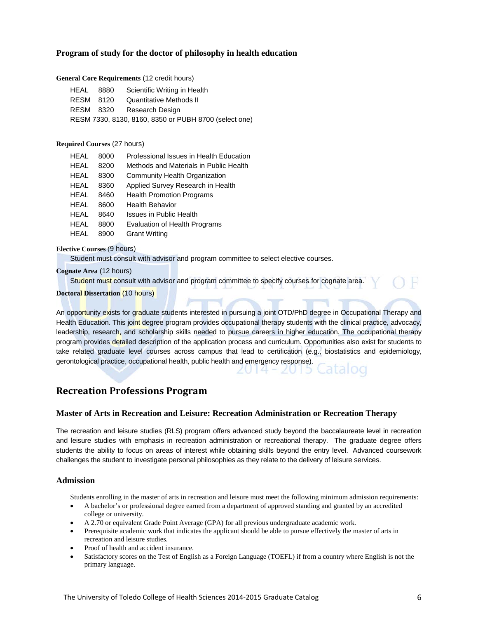#### **Program of study for the doctor of philosophy in health education**

#### **General Core Requirements** (12 credit hours)

| HEAL 8880 | Scientific Writing in Health                          |
|-----------|-------------------------------------------------------|
| RESM 8120 | Quantitative Methods II                               |
|           | RESM 8320 Research Design                             |
|           | RESM 7330, 8130, 8160, 8350 or PUBH 8700 (select one) |

#### **Required Courses** (27 hours)

| HEAL        | 8000 | Professional Issues in Health Education |
|-------------|------|-----------------------------------------|
| <b>HEAL</b> | 8200 | Methods and Materials in Public Health  |
| <b>HEAL</b> | 8300 | Community Health Organization           |
| HEAL        | 8360 | Applied Survey Research in Health       |
| HEAL        | 8460 | <b>Health Promotion Programs</b>        |
| HEAL        | 8600 | Health Behavior                         |
| HEAL        | 8640 | Issues in Public Health                 |
| HEAL        | 8800 | <b>Evaluation of Health Programs</b>    |
| HEAL        | 8900 | <b>Grant Writing</b>                    |

#### **Elective Courses** (9 hours)

Student must consult with advisor and program committee to select elective courses.

**Cognate Area** (12 hours)

Student must consult with advisor and program committee to specify courses for cognate area.

#### **Doctoral Dissertation** (10 hours)

An opportunity exists for graduate students interested in pursuing a joint OTD/PhD degree in Occupational Therapy and Health Education. This joint degree program provides occupational therapy students with the clinical practice, advocacy, leadership, research, and scholarship skills needed to pursue careers in higher education. The occupational therapy program provides detailed description of the application process and curriculum. Opportunities also exist for students to take related graduate level courses across campus that lead to certification (e.g., biostatistics and epidemiology, gerontological practice, occupational health, public health and emergency response).

2014 - 201

### **Recreation Professions Program**

#### **Master of Arts in Recreation and Leisure: Recreation Administration or Recreation Therapy**

The recreation and leisure studies (RLS) program offers advanced study beyond the baccalaureate level in recreation and leisure studies with emphasis in recreation administration or recreational therapy. The graduate degree offers students the ability to focus on areas of interest while obtaining skills beyond the entry level. Advanced coursework challenges the student to investigate personal philosophies as they relate to the delivery of leisure services.

#### **Admission**

Students enrolling in the master of arts in recreation and leisure must meet the following minimum admission requirements:

- A bachelor's or professional degree earned from a department of approved standing and granted by an accredited college or university.
- A 2.70 or equivalent Grade Point Average (GPA) for all previous undergraduate academic work.
- Prerequisite academic work that indicates the applicant should be able to pursue effectively the master of arts in recreation and leisure studies.
- Proof of health and accident insurance.
- Satisfactory scores on the Test of English as a Foreign Language (TOEFL) if from a country where English is not the primary language.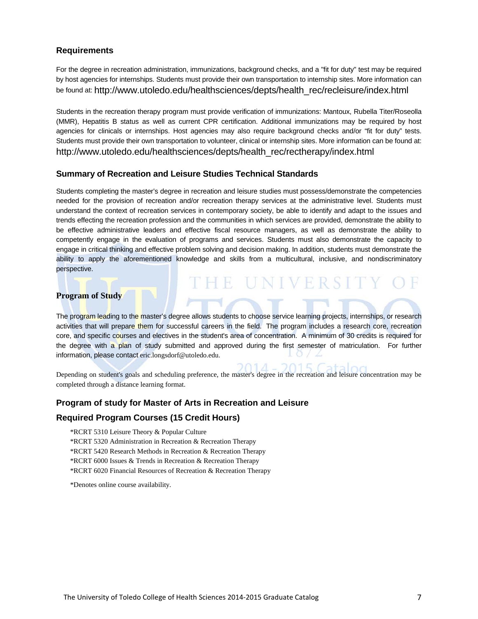#### **Requirements**

For the degree in recreation administration, immunizations, background checks, and a "fit for duty" test may be required by host agencies for internships. Students must provide their own transportation to internship sites. More information can be found at[: http://www.utoledo.edu/healthsciences/depts/health\\_rec/recleisure/index.html](http://www.utoledo.edu/healthsciences/depts/health_rec/recleisure/index.html)

Students in the recreation therapy program must provide verification of immunizations: Mantoux, Rubella Titer/Roseolla (MMR), Hepatitis B status as well as current CPR certification. Additional immunizations may be required by host agencies for clinicals or internships. Host agencies may also require background checks and/or "fit for duty" tests. Students must provide their own transportation to volunteer, clinical or internship sites. More information can be found at: [http://www.utoledo.edu/healthsciences/depts/health\\_rec/rectherapy/index.html](http://www.utoledo.edu/healthsciences/depts/health_rec/rectherapy/index.html)

#### **Summary of Recreation and Leisure Studies Technical Standards**

Students completing the master's degree in recreation and leisure studies must possess/demonstrate the competencies needed for the provision of recreation and/or recreation therapy services at the administrative level. Students must understand the context of recreation services in contemporary society, be able to identify and adapt to the issues and trends effecting the recreation profession and the communities in which services are provided, demonstrate the ability to be effective administrative leaders and effective fiscal resource managers, as well as demonstrate the ability to competently engage in the evaluation of programs and services. Students must also demonstrate the capacity to engage in critical thinking and effective problem solving and decision making. In addition, students must demonstrate the ability to apply the aforementioned knowledge and skills from a multicultural, inclusive, and nondiscriminatory perspective.

IE UNIVERSIT

 $2015$ 

#### **Program of Study**

The program leading to the master's degree allows students to choose service learning projects, internships, or research activities that will prepare them for successful careers in the field. The program includes a research core, recreation core, and specific courses and electives in the student's area of concentration. A minimum of 30 credits is required for the degree with a plan of study submitted and approved during the first semester of matriculation. For further information, please contact eric.longsdorf@utoledo.edu.

Depending on student's goals and scheduling preference, the master's degree in the recreation and leisure concentration may be completed through a distance learning format.

#### **Program of study for Master of Arts in Recreation and Leisure**

#### **Required Program Courses (15 Credit Hours)**

\*RCRT 5310 Leisure Theory & Popular Culture

\*RCRT 5320 Administration in Recreation & Recreation Therapy

\*RCRT 5420 Research Methods in Recreation & Recreation Therapy

\*RCRT 6000 Issues & Trends in Recreation & Recreation Therapy

\*RCRT 6020 Financial Resources of Recreation & Recreation Therapy

\*Denotes online course availability.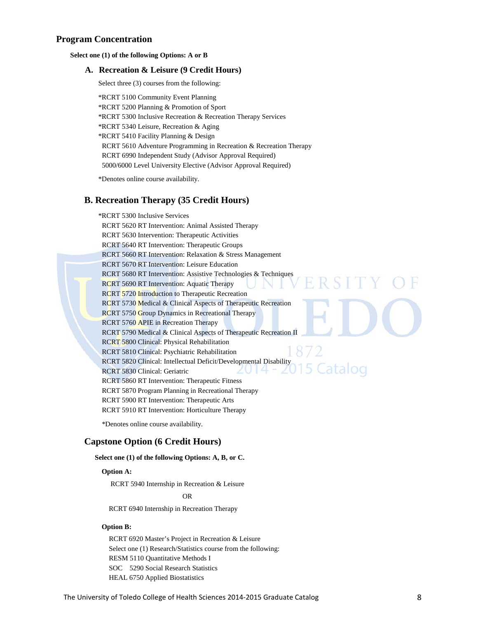#### **Program Concentration**

#### **Select one (1) of the following Options: A or B**

#### **A. Recreation & Leisure (9 Credit Hours)**

Select three (3) courses from the following:

\*RCRT 5100 Community Event Planning \*RCRT 5200 Planning & Promotion of Sport \*RCRT 5300 Inclusive Recreation & Recreation Therapy Services \*RCRT 5340 Leisure, Recreation & Aging \*RCRT 5410 Facility Planning & Design RCRT 5610 Adventure Programming in Recreation & Recreation Therapy RCRT 6990 Independent Study (Advisor Approval Required) 5000/6000 Level University Elective (Advisor Approval Required)

\*Denotes online course availability.

#### **B. Recreation Therapy (35 Credit Hours)**

\*RCRT 5300 Inclusive Services RCRT 5620 RT Intervention: Animal Assisted Therapy RCRT 5630 Intervention: Therapeutic Activities RCRT 5640 RT Intervention: Therapeutic Groups RCRT 5660 RT Intervention: Relaxation & Stress Management RCRT 5670 RT Intervention: Leisure Education RCRT 5680 RT Intervention: Assistive Technologies & Techniques **RSIT** RCRT 5690 RT Intervention: Aquatic Therapy RCRT 5720 Introduction to Therapeutic Recreation RCRT 5730 Medical & Clinical Aspects of Therapeutic Recreation RCRT 5750 Group Dynamics in Recreational Therapy RCRT 5760 APIE in Recreation Therapy RCRT 5790 Medical & Clinical Aspects of Therapeutic Recreation II RCRT 5800 Clinical: Physical Rehabilitation RCRT 5810 Clinical: Psychiatric Rehabilitation RCRT 5820 Clinical: Intellectual Deficit/Developmental Disability 5 Catalog RCRT 5830 Clinical: Geriatric RCRT 5860 RT Intervention: Therapeutic Fitness RCRT 5870 Program Planning in Recreational Therapy RCRT 5900 RT Intervention: Therapeutic Arts RCRT 5910 RT Intervention: Horticulture Therapy

\*Denotes online course availability.

#### **Capstone Option (6 Credit Hours)**

#### **Select one (1) of the following Options: A, B, or C.**

#### **Option A:**

RCRT 5940 Internship in Recreation & Leisure

**OR** OR

RCRT 6940 Internship in Recreation Therapy

#### **Option B:**

RCRT 6920 Master's Project in Recreation & Leisure Select one (1) Research/Statistics course from the following: RESM 5110 Quantitative Methods I SOC 5290 Social Research Statistics HEAL 6750 Applied Biostatistics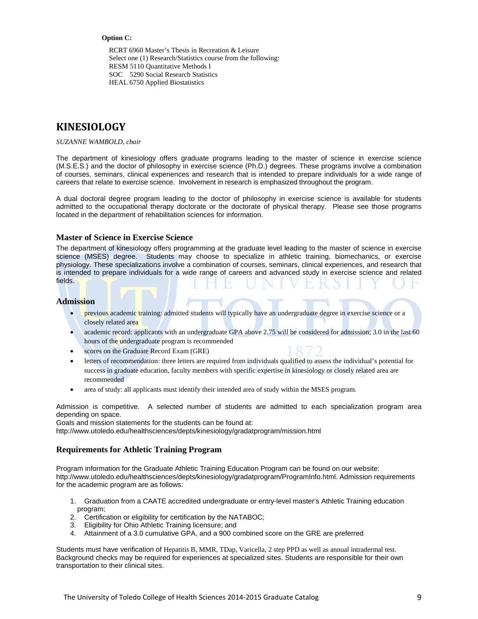#### **Option C:**

RCRT 6960 Master's Thesis in Recreation & Leisure Select one (1) Research/Statistics course from the following: RESM 5110 Quantitative Methods I SOC 5290 Social Research Statistics HEAL 6750 Applied Biostatistics

# **KINESIOLOGY**

*SUZANNE WAMBOLD, chair*

The department of kinesiology offers graduate programs leading to the master of science in exercise science (M.S.E.S.) and the doctor of philosophy in exercise science (Ph.D.) degrees. These programs involve a combination of courses, seminars, clinical experiences and research that is intended to prepare individuals for a wide range of careers that relate to exercise science. Involvement in research is emphasized throughout the program.

A dual doctoral degree program leading to the doctor of philosophy in exercise science is available for students admitted to the occupational therapy doctorate or the doctorate of physical therapy. Please see those programs located in the department of rehabilitation sciences for information.

#### **Master of Science in Exercise Science**

The department of kinesiology offers programming at the graduate level leading to the master of science in exercise science (MSES) degree. Students may choose to specialize in athletic training, biomechanics, or exercise physiology. These specializations involve a combination of courses, seminars, clinical experiences, and research that is intended to prepare individuals for a wide range of careers and advanced study in exercise science and related fields.

#### **Admission**

- previous academic training: admitted students will typically have an undergraduate degree in exercise science or a closely related area
- academic record: applicants with an undergraduate GPA above 2.75 will be considered for admission; 3.0 in the last 60 hours of the undergraduate program is recommended
- scores on the Graduate Record Exam (GRE)
- letters of recommendation: three letters are required from individuals qualified to assess the individual's potential for success in graduate education, faculty members with specific expertise in kinesiology or closely related area are recommended
- area of study: all applicants must identify their intended area of study within the MSES program.

Admission is competitive. A selected number of students are admitted to each specialization program area depending on space.

Goals and mission statements for the students can be found at:

<http://www.utoledo.edu/healthsciences/depts/kinesiology/gradatprogram/mission.html>

#### **Requirements for Athletic Training Program**

Program information for the Graduate Athletic Training Education Program can be found on our website: [http://www.utoledo.edu/healthsciences/depts/kinesiology/gradatprogram/ProgramInfo.html.](http://www.utoledo.edu/healthsciences/depts/kinesiology/gradatprogram/ProgramInfo.html) Admission requirements for the academic program are as follows:

- 1. Graduation from a CAATE accredited undergraduate or entry-level master's Athletic Training education program;
- 2. Certification or eligibility for certification by the NATABOC;
- 3. Eligibility for Ohio Athletic Training licensure; and
- 4. Attainment of a 3.0 cumulative GPA, and a 900 combined score on the GRE are preferred

Students must have verification of Hepatitis B, MMR, TDap, Varicella, 2 step PPD as well as annual intradermal test. Background checks may be required for experiences at specialized sites. Students are responsible for their own transportation to their clinical sites.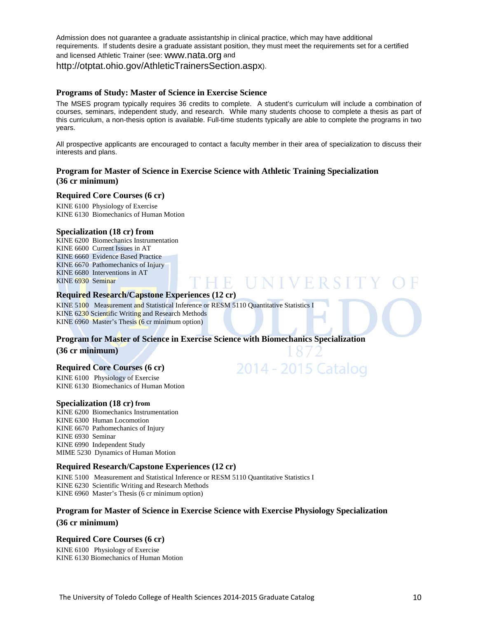Admission does not guarantee a graduate assistantship in clinical practice, which may have additional requirements. If students desire a graduate assistant position, they must meet the requirements set for a certified and licensed Athletic Trainer (see: [www.nata.org](http://www.nata.org/) and [http://otptat.ohio.gov/AthleticTrainersSection.aspx\)](http://otptat.ohio.gov/AthleticTrainersSection.aspx).

#### **Programs of Study: Master of Science in Exercise Science**

The MSES program typically requires 36 credits to complete. A student's curriculum will include a combination of courses, seminars, independent study, and research. While many students choose to complete a thesis as part of this curriculum, a non-thesis option is available. Full-time students typically are able to complete the programs in two years.

All prospective applicants are encouraged to contact a faculty member in their area of specialization to discuss their interests and plans.

E UNIVERS

2014 - 2015 Catalog

#### **Program for Master of Science in Exercise Science with Athletic Training Specialization (36 cr minimum)**

#### **Required Core Courses (6 cr)**

KINE 6100 Physiology of Exercise KINE 6130 Biomechanics of Human Motion

#### **Specialization (18 cr) from**

KINE 6200 Biomechanics Instrumentation KINE 6600 Current Issues in AT KINE 6660 Evidence Based Practice KINE 6670 Pathomechanics of Injury KINE 6680 Interventions in AT KINE 6930 Seminar

#### **Required Research/Capstone Experiences (12 cr)**

KINE 5100 Measurement and Statistical Inference or RESM 5110 Quantitative Statistics I KINE 6230 Scientific Writing and Research Methods KINE 6960 Master's Thesis (6 cr minimum option)

# **Program for Master of Science in Exercise Science with Biomechanics Specialization**

#### **(36 cr minimum)**

#### **Required Core Courses (6 cr)**

KINE 6100 Physiology of Exercise KINE 6130 Biomechanics of Human Motion

#### **Specialization (18 cr) from**

KINE 6200 Biomechanics Instrumentation KINE 6300 Human Locomotion KINE 6670 Pathomechanics of Injury KINE 6930 Seminar KINE 6990 Independent Study MIME 5230 Dynamics of Human Motion

#### **Required Research/Capstone Experiences (12 cr)**

KINE 5100 Measurement and Statistical Inference or RESM 5110 Quantitative Statistics I KINE 6230 Scientific Writing and Research Methods KINE 6960 Master's Thesis (6 cr minimum option)

#### **Program for Master of Science in Exercise Science with Exercise Physiology Specialization (36 cr minimum)**

#### **Required Core Courses (6 cr)**

KINE 6100 Physiology of Exercise KINE 6130 Biomechanics of Human Motion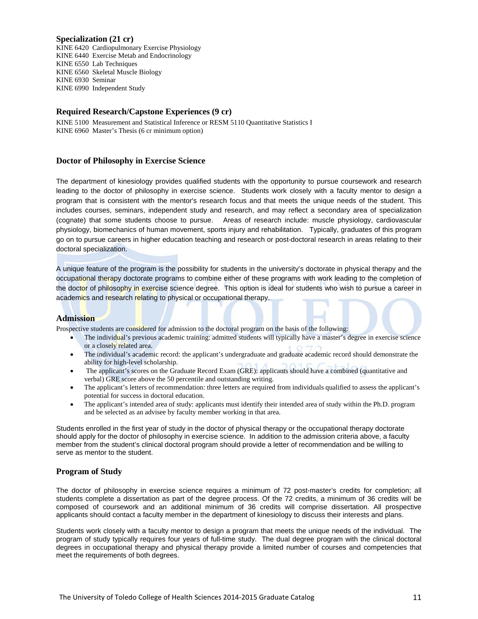#### **Specialization (21 cr)**

KINE 6420 Cardiopulmonary Exercise Physiology KINE 6440 Exercise Metab and Endocrinology KINE 6550 Lab Techniques KINE 6560 Skeletal Muscle Biology KINE 6930 Seminar KINE 6990 Independent Study

#### **Required Research/Capstone Experiences (9 cr)**

KINE 5100 Measurement and Statistical Inference or RESM 5110 Quantitative Statistics I KINE 6960 Master's Thesis (6 cr minimum option)

#### **Doctor of Philosophy in Exercise Science**

The department of kinesiology provides qualified students with the opportunity to pursue coursework and research leading to the doctor of philosophy in exercise science. Students work closely with a faculty mentor to design a program that is consistent with the mentor's research focus and that meets the unique needs of the student. This includes courses, seminars, independent study and research, and may reflect a secondary area of specialization (cognate) that some students choose to pursue. Areas of research include: muscle physiology, cardiovascular physiology, biomechanics of human movement, sports injury and rehabilitation. Typically, graduates of this program go on to pursue careers in higher education teaching and research or post-doctoral research in areas relating to their doctoral specialization.

A unique feature of the program is the possibility for students in the university's doctorate in physical therapy and the occupational therapy doctorate programs to combine either of these programs with work leading to the completion of the doctor of philosophy in exercise science degree. This option is ideal for students who wish to pursue a career in academics and research relating to physical or occupational therapy.

#### **Admission**

Prospective students are considered for admission to the doctoral program on the basis of the following:

- The individual's previous academic training: admitted students will typically have a master's degree in exercise science or a closely related area.
- The individual's academic record: the applicant's undergraduate and graduate academic record should demonstrate the ability for high-level scholarship.
- The applicant's scores on the Graduate Record Exam (GRE): applicants should have a combined (quantitative and verbal) GRE score above the 50 percentile and outstanding writing.
- The applicant's letters of recommendation: three letters are required from individuals qualified to assess the applicant's potential for success in doctoral education.
- The applicant's intended area of study: applicants must identify their intended area of study within the Ph.D. program and be selected as an advisee by faculty member working in that area.

Students enrolled in the first year of study in the doctor of physical therapy or the occupational therapy doctorate should apply for the doctor of philosophy in exercise science. In addition to the admission criteria above, a faculty member from the student's clinical doctoral program should provide a letter of recommendation and be willing to serve as mentor to the student.

#### **Program of Study**

The doctor of philosophy in exercise science requires a minimum of 72 post-master's credits for completion; all students complete a dissertation as part of the degree process. Of the 72 credits, a minimum of 36 credits will be composed of coursework and an additional minimum of 36 credits will comprise dissertation. All prospective applicants should contact a faculty member in the department of kinesiology to discuss their interests and plans.

Students work closely with a faculty mentor to design a program that meets the unique needs of the individual. The program of study typically requires four years of full-time study. The dual degree program with the clinical doctoral degrees in occupational therapy and physical therapy provide a limited number of courses and competencies that meet the requirements of both degrees.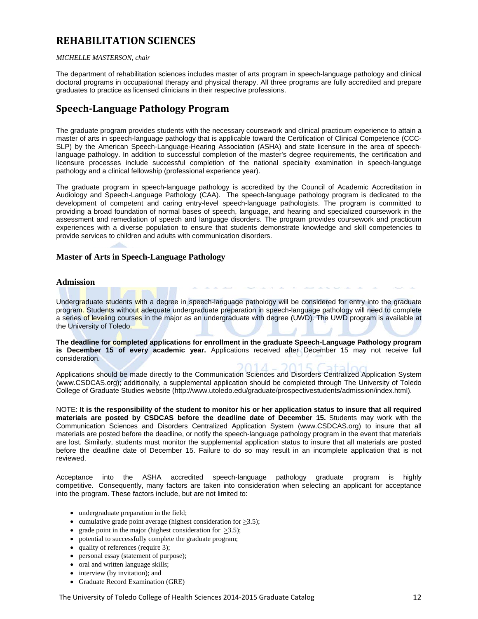# **REHABILITATION SCIENCES**

#### *MICHELLE MASTERSON, chair*

The department of rehabilitation sciences includes master of arts program in speech-language pathology and clinical doctoral programs in occupational therapy and physical therapy. All three programs are fully accredited and prepare graduates to practice as licensed clinicians in their respective professions.

## **Speech-Language Pathology Program**

The graduate program provides students with the necessary coursework and clinical practicum experience to attain a master of arts in speech-language pathology that is applicable toward the Certification of Clinical Competence (CCC-SLP) by the American Speech-Language-Hearing Association (ASHA) and state licensure in the area of speechlanguage pathology. In addition to successful completion of the master's degree requirements, the certification and licensure processes include successful completion of the national specialty examination in speech-language pathology and a clinical fellowship (professional experience year).

The graduate program in speech-language pathology is accredited by the Council of Academic Accreditation in Audiology and Speech-Language Pathology (CAA). The speech-language pathology program is dedicated to the development of competent and caring entry-level speech-language pathologists. The program is committed to providing a broad foundation of normal bases of speech, language, and hearing and specialized coursework in the assessment and remediation of speech and language disorders. The program provides coursework and practicum experiences with a diverse population to ensure that students demonstrate knowledge and skill competencies to provide services to children and adults with communication disorders.

#### **Master of Arts in Speech-Language Pathology**

#### **Admission**

Undergraduate students with a degree in speech-language pathology will be considered for entry into the graduate program. Students without adequate undergraduate preparation in speech-language pathology will need to complete a series of leveling courses in the major as an undergraduate with degree (UWD). The UWD program is available at the University of Toledo.

**The deadline for completed applications for enrollment in the graduate Speech-Language Pathology program is December 15 of every academic year.** Applications received after December 15 may not receive full consideration.

Applications should be made directly to the Communication Sciences and Disorders Centralized Application System [\(www.CSDCAS.org\)](http://www.csdcas.org/); additionally, a supplemental application should be completed through The University of Toledo College of Graduate Studies website [\(http://www.utoledo.edu/graduate/prospectivestudents/admission/index.html\)](http://www.utoledo.edu/graduate/prospectivestudents/admission/index.html).

NOTE: **It is the responsibility of the student to monitor his or her application status to insure that all required materials are posted by CSDCAS before the deadline date of December 15.** Students may work with the Communication Sciences and Disorders Centralized Application System [\(www.CSDCAS.org\)](http://www.csdcas.org/) to insure that all materials are posted before the deadline, or notify the speech-language pathology program in the event that materials are lost. Similarly, students must monitor the supplemental application status to insure that all materials are posted before the deadline date of December 15. Failure to do so may result in an incomplete application that is not reviewed.

Acceptance into the ASHA accredited speech-language pathology graduate program is highly competitive. Consequently, many factors are taken into consideration when selecting an applicant for acceptance into the program. These factors include, but are not limited to:

- undergraduate preparation in the field;
- cumulative grade point average (highest consideration for  $>3.5$ );
- grade point in the major (highest consideration for  $>3.5$ );
- potential to successfully complete the graduate program;
- quality of references (require 3);
- personal essay (statement of purpose);
- oral and written language skills;
- interview (by invitation); and
- Graduate Record Examination (GRE)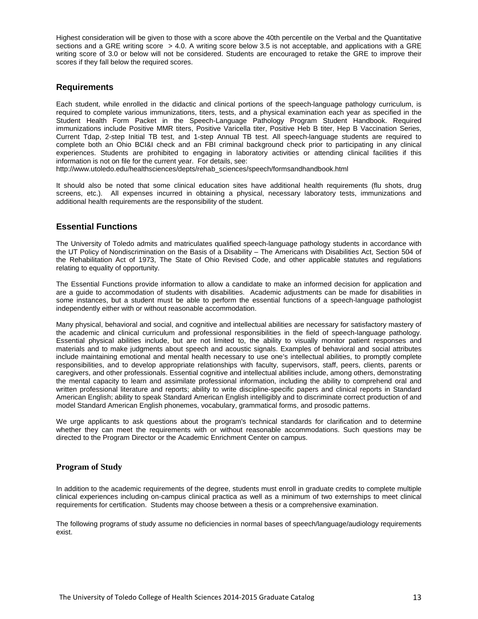Highest consideration will be given to those with a score above the 40th percentile on the Verbal and the Quantitative sections and a GRE writing score > 4.0. A writing score below 3.5 is not acceptable, and applications with a GRE writing score of 3.0 or below will not be considered. Students are encouraged to retake the GRE to improve their scores if they fall below the required scores.

#### **Requirements**

Each student, while enrolled in the didactic and clinical portions of the speech-language pathology curriculum, is required to complete various immunizations, titers, tests, and a physical examination each year as specified in the Student Health Form Packet in the Speech-Language Pathology Program Student Handbook. Required immunizations include Positive MMR titers, Positive Varicella titer, Positive Heb B titer, Hep B Vaccination Series, Current Tdap, 2-step Initial TB test, and 1-step Annual TB test. All speech-language students are required to complete both an Ohio BCI&I check and an FBI criminal background check prior to participating in any clinical experiences. Students are prohibited to engaging in laboratory activities or attending clinical facilities if this information is not on file for the current year. For details, see:

[http://www.utoledo.edu/healthsciences/depts/rehab\\_sciences/speech/formsandhandbook.html](http://www.utoledo.edu/healthsciences/depts/rehab_sciences/speech/formsandhandbook.html)

It should also be noted that some clinical education sites have additional health requirements (flu shots, drug screens, etc.). All expenses incurred in obtaining a physical, necessary laboratory tests, immunizations and additional health requirements are the responsibility of the student.

#### **Essential Functions**

The University of Toledo admits and matriculates qualified speech-language pathology students in accordance with the UT Policy of Nondiscrimination on the Basis of a Disability – The Americans with Disabilities Act, Section 504 of the Rehabilitation Act of 1973, The State of Ohio Revised Code, and other applicable statutes and regulations relating to equality of opportunity.

The Essential Functions provide information to allow a candidate to make an informed decision for application and are a guide to accommodation of students with disabilities. Academic adjustments can be made for disabilities in some instances, but a student must be able to perform the essential functions of a speech-language pathologist independently either with or without reasonable accommodation.

Many physical, behavioral and social, and cognitive and intellectual abilities are necessary for satisfactory mastery of the academic and clinical curriculum and professional responsibilities in the field of speech-language pathology. Essential physical abilities include, but are not limited to, the ability to visually monitor patient responses and materials and to make judgments about speech and acoustic signals. Examples of behavioral and social attributes include maintaining emotional and mental health necessary to use one's intellectual abilities, to promptly complete responsibilities, and to develop appropriate relationships with faculty, supervisors, staff, peers, clients, parents or caregivers, and other professionals. Essential cognitive and intellectual abilities include, among others, demonstrating the mental capacity to learn and assimilate professional information, including the ability to comprehend oral and written professional literature and reports; ability to write discipline-specific papers and clinical reports in Standard American English; ability to speak Standard American English intelligibly and to discriminate correct production of and model Standard American English phonemes, vocabulary, grammatical forms, and prosodic patterns.

We urge applicants to ask questions about the program's technical standards for clarification and to determine whether they can meet the requirements with or without reasonable accommodations. Such questions may be directed to the Program Director or the Academic Enrichment Center on campus.

#### **Program of Study**

In addition to the academic requirements of the degree, students must enroll in graduate credits to complete multiple clinical experiences including on-campus clinical practica as well as a minimum of two externships to meet clinical requirements for certification. Students may choose between a thesis or a comprehensive examination.

The following programs of study assume no deficiencies in normal bases of speech/language/audiology requirements exist.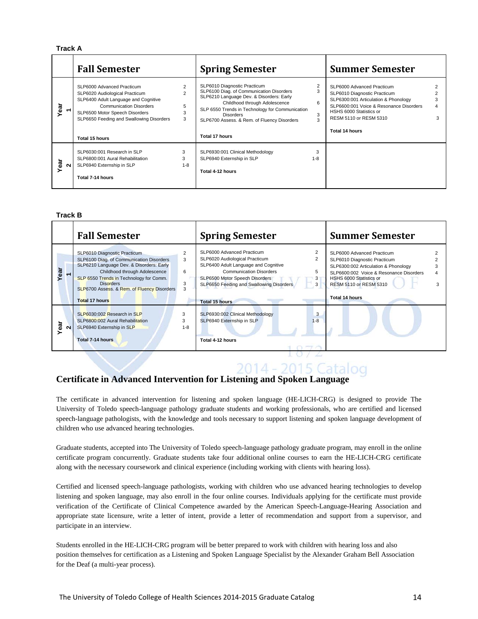#### **Track A**

|              | <b>Fall Semester</b>                                                                                                                                                                                                                   |                                    | <b>Spring Semester</b>                                                                                                                                                                                                                                                                        |              | <b>Summer Semester</b>                                                                                                                                                                                               |  |
|--------------|----------------------------------------------------------------------------------------------------------------------------------------------------------------------------------------------------------------------------------------|------------------------------------|-----------------------------------------------------------------------------------------------------------------------------------------------------------------------------------------------------------------------------------------------------------------------------------------------|--------------|----------------------------------------------------------------------------------------------------------------------------------------------------------------------------------------------------------------------|--|
| Year         | SLP6000 Advanced Practicum<br>SLP6020 Audiological Practicum<br>SLP6400 Adult Language and Cognitive<br><b>Communication Disorders</b><br>SLP6500 Motor Speech Disorders<br>SLP6650 Feeding and Swallowing Disorders<br>Total 15 hours | 2<br>$\mathfrak{p}$<br>5<br>3<br>3 | SLP6010 Diagnostic Practicum<br>SLP6100 Diag. of Communication Disorders<br>SLP6210 Language Dev. & Disorders: Early<br>Childhood through Adolescence<br>SLP 6550 Trends in Technology for Communication<br><b>Disorders</b><br>SLP6700 Assess. & Rem. of Fluency Disorders<br>Total 17 hours | 6<br>3<br>3  | SLP6000 Advanced Practicum<br>SLP6010 Diagnostic Practicum<br>SLP6300:001 Articulation & Phonology<br>SLP6600:001 Voice & Resonance Disorders<br>HSHS 6000 Statistics or<br>RESM 5110 or RESM 5310<br>Total 14 hours |  |
| ēā<br>$\sim$ | SLP6030:001 Research in SLP<br>SLP6800:001 Aural Rehabilitation<br>SLP6940 Externship in SLP<br>Total 7-14 hours                                                                                                                       | 3<br>3<br>$1 - 8$                  | SLP6930:001 Clinical Methodology<br>SLP6940 Externship in SLP<br>Total 4-12 hours                                                                                                                                                                                                             | 3<br>$1 - 8$ |                                                                                                                                                                                                                      |  |

#### **Track B**

|                     | <b>Fall Semester</b>                                                                                                                                                                                                                                                                         |                   | <b>Spring Semester</b>                                                                                                                                                                                                                        |                  | <b>Summer Semester</b>                                                                                                                                                                                                      |  |
|---------------------|----------------------------------------------------------------------------------------------------------------------------------------------------------------------------------------------------------------------------------------------------------------------------------------------|-------------------|-----------------------------------------------------------------------------------------------------------------------------------------------------------------------------------------------------------------------------------------------|------------------|-----------------------------------------------------------------------------------------------------------------------------------------------------------------------------------------------------------------------------|--|
|                     | SLP6010 Diagnostic Practicum<br>SLP6100 Diag. of Communication Disorders<br>SLP6210 Language Dev. & Disorders: Early<br>Childhood through Adolescence<br>SLP 6550 Trends in Technology for Comm.<br><b>Disorders</b><br>SLP6700 Assess. & Rem. of Fluency Disorders<br><b>Total 17 hours</b> | 3<br>6<br>3       | SLP6000 Advanced Practicum<br>SLP6020 Audiological Practicum<br>SLP6400 Adult Language and Cognitive<br><b>Communication Disorders</b><br>SLP6500 Motor Speech Disorders<br>SLP6650 Feeding and Swallowing Disorders<br><b>Total 15 hours</b> | 2<br>5<br>3<br>3 | SLP6000 Advanced Practicum<br>SLP6010 Diagnostic Practicum<br>SLP6300:002 Articulation & Phonology<br>SLP6600:002 Voice & Resonance Disorders<br>HSHS 6000 Statistics or<br>RESM 5110 or RESM 5310<br><b>Total 14 hours</b> |  |
| Yea<br>$\mathbf{N}$ | SLP6030:002 Research in SLP<br>SLP6800:002 Aural Rehabilitation<br>SLP6940 Externship in SLP<br>Total 7-14 hours                                                                                                                                                                             | 3<br>3<br>$1 - 8$ | SLP6930:002 Clinical Methodology<br>SLP6940 Externship in SLP<br>Total 4-12 hours                                                                                                                                                             | 3<br>$1 - 8$     |                                                                                                                                                                                                                             |  |

# 2014 - 2015 Catalog

### **Certificate in Advanced Intervention for Listening and Spoken Language**

The certificate in advanced intervention for listening and spoken language (HE-LICH-CRG) is designed to provide The University of Toledo speech-language pathology graduate students and working professionals, who are certified and licensed speech-language pathologists, with the knowledge and tools necessary to support listening and spoken language development of children who use advanced hearing technologies.

Graduate students, accepted into The University of Toledo speech-language pathology graduate program, may enroll in the online certificate program concurrently. Graduate students take four additional online courses to earn the HE-LICH-CRG certificate along with the necessary coursework and clinical experience (including working with clients with hearing loss).

Certified and licensed speech-language pathologists, working with children who use advanced hearing technologies to develop listening and spoken language, may also enroll in the four online courses. Individuals applying for the certificate must provide verification of the Certificate of Clinical Competence awarded by the American Speech-Language-Hearing Association and appropriate state licensure, write a letter of intent, provide a letter of recommendation and support from a supervisor, and participate in an interview.

Students enrolled in the HE-LICH-CRG program will be better prepared to work with children with hearing loss and also position themselves for certification as a Listening and Spoken Language Specialist by the Alexander Graham Bell Association for the Deaf (a multi-year process).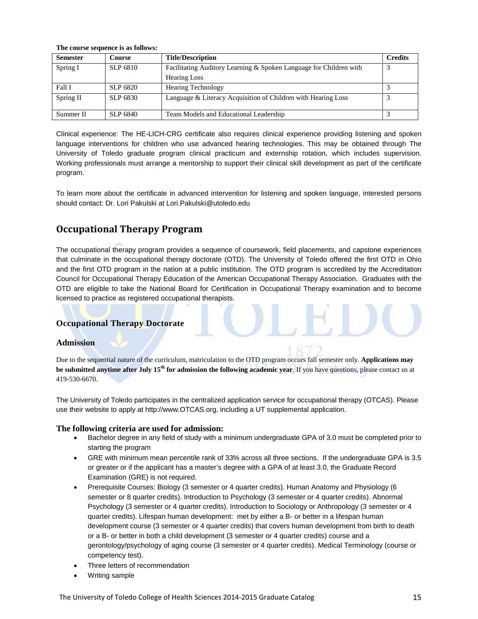| <b>Semester</b> | <b>Course</b>   | <b>Title/Description</b>                                           | <b>Credits</b> |
|-----------------|-----------------|--------------------------------------------------------------------|----------------|
| Spring I        | SLP 6810        | Facilitating Auditory Learning & Spoken Language for Children with |                |
|                 |                 | <b>Hearing Loss</b>                                                |                |
| Fall I          | SLP 6820        | <b>Hearing Technology</b>                                          |                |
| Spring II       | SLP 6830        | Language & Literacy Acquisition of Children with Hearing Loss      |                |
| Summer II       | <b>SLP 6840</b> | Team Models and Educational Leadership                             |                |

Clinical experience: The HE-LICH-CRG certificate also requires clinical experience providing listening and spoken language interventions for children who use advanced hearing technologies. This may be obtained through The University of Toledo graduate program clinical practicum and externship rotation, which includes supervision. Working professionals must arrange a mentorship to support their clinical skill development as part of the certificate program.

To learn more about the certificate in advanced intervention for listening and spoken language, interested persons should contact: Dr. Lori Pakulski at [Lori.Pakulski@utoledo.edu](mailto:Lori.Pakulski@utoledo.edu)

# **Occupational Therapy Program**

**The course sequence is as follows:**

The occupational therapy program provides a sequence of coursework, field placements, and capstone experiences that culminate in the occupational therapy doctorate (OTD). The University of Toledo offered the first OTD in Ohio and the first OTD program in the nation at a public institution. The OTD program is accredited by the Accreditation Council for Occupational Therapy Education of the American Occupational Therapy Association. Graduates with the OTD are eligible to take the National Board for Certification in Occupational Therapy examination and to become licensed to practice as registered occupational therapists.

#### **Occupational Therapy Doctorate**

#### **Admission**

Due to the sequential nature of the curriculum, matriculation to the OTD program occurs fall semester only. **Applications may be submitted anytime after July 15<sup>th</sup> for admission the following academic year**. If you have questions, please contact us at 419-530-6670.

The University of Toledo participates in the centralized application service for occupational therapy (OTCAS). Please use their website to apply at [http://www.OTCAS.org,](http://www.otcas.org/) including a UT supplemental application.

#### **The following criteria are used for admission:**

- Bachelor degree in any field of study with a minimum undergraduate GPA of 3.0 must be completed prior to starting the program
- GRE with minimum mean percentile rank of 33% across all three sections. If the undergraduate GPA is 3.5 or greater or if the applicant has a master's degree with a GPA of at least 3.0, the Graduate Record Examination (GRE) is not required.
- Prerequisite Courses: Biology (3 semester or 4 quarter credits). Human Anatomy and Physiology (6 semester or 8 quarter credits). Introduction to Psychology (3 semester or 4 quarter credits). Abnormal Psychology (3 semester or 4 quarter credits). Introduction to Sociology or Anthropology (3 semester or 4 quarter credits). Lifespan human development: met by either a B- or better in a lifespan human development course (3 semester or 4 quarter credits) that covers human development from birth to death or a B- or better in both a child development (3 semester or 4 quarter credits) course and a gerontology/psychology of aging course (3 semester or 4 quarter credits). Medical Terminology (course or competency test).
- Three letters of recommendation
- Writing sample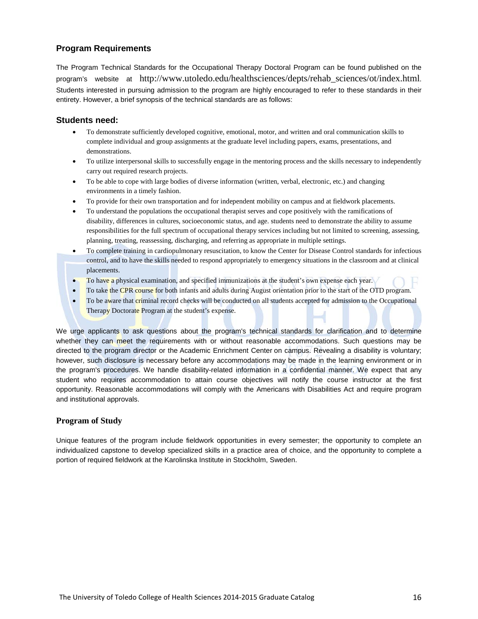#### **Program Requirements**

The Program Technical Standards for the Occupational Therapy Doctoral Program can be found published on the program's website at [http://www.utoledo.edu/healthsciences/depts/rehab\\_sciences/ot/index.html.](http://www.utoledo.edu/healthsciences/depts/rehab_sciences/ot/index.html) Students interested in pursuing admission to the program are highly encouraged to refer to these standards in their entirety. However, a brief synopsis of the technical standards are as follows:

#### **Students need:**

- To demonstrate sufficiently developed cognitive, emotional, motor, and written and oral communication skills to complete individual and group assignments at the graduate level including papers, exams, presentations, and demonstrations.
- To utilize interpersonal skills to successfully engage in the mentoring process and the skills necessary to independently carry out required research projects.
- To be able to cope with large bodies of diverse information (written, verbal, electronic, etc.) and changing environments in a timely fashion.
- To provide for their own transportation and for independent mobility on campus and at fieldwork placements.
- To understand the populations the occupational therapist serves and cope positively with the ramifications of disability, differences in cultures, socioeconomic status, and age. students need to demonstrate the ability to assume responsibilities for the full spectrum of occupational therapy services including but not limited to screening, assessing, planning, treating, reassessing, discharging, and referring as appropriate in multiple settings.
- To complete training in cardiopulmonary resuscitation, to know the Center for Disease Control standards for infectious control, and to have the skills needed to respond appropriately to emergency situations in the classroom and at clinical placements.
- To have a physical examination, and specified immunizations at the student's own expense each year.
- To take the CPR course for both infants and adults during August orientation prior to the start of the OTD program.
- To be aware that criminal record checks will be conducted on all students accepted for admission to the Occupational Therapy Doctorate Program at the student's expense.

We urge applicants to ask questions about the program's technical standards for clarification and to determine whether they can meet the requirements with or without reasonable accommodations. Such questions may be directed to the program director or the Academic Enrichment Center on campus. Revealing a disability is voluntary; however, such disclosure is necessary before any accommodations may be made in the learning environment or in the program's procedures. We handle disability-related information in a confidential manner. We expect that any student who requires accommodation to attain course objectives will notify the course instructor at the first opportunity. Reasonable accommodations will comply with the Americans with Disabilities Act and require program and institutional approvals.

#### **Program of Study**

Unique features of the program include fieldwork opportunities in every semester; the opportunity to complete an individualized capstone to develop specialized skills in a practice area of choice, and the opportunity to complete a portion of required fieldwork at the Karolinska Institute in Stockholm, Sweden.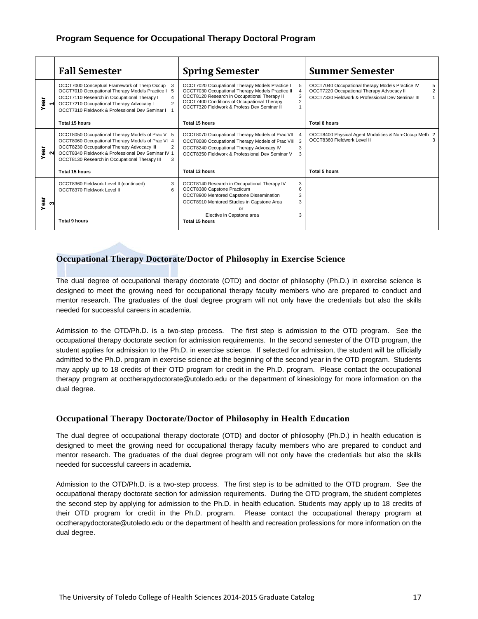### **Program Sequence for Occupational Therapy Doctoral Program**

|           | <b>Fall Semester</b>                                                                                                                                                                                                                                                                   | <b>Spring Semester</b>                                                                                                                                                                                                                                              | <b>Summer Semester</b>                                                                                                                                                    |
|-----------|----------------------------------------------------------------------------------------------------------------------------------------------------------------------------------------------------------------------------------------------------------------------------------------|---------------------------------------------------------------------------------------------------------------------------------------------------------------------------------------------------------------------------------------------------------------------|---------------------------------------------------------------------------------------------------------------------------------------------------------------------------|
| ēā<br>≻   | OCCT7000 Conceptual Framework of Therp Occup<br>OCCT7010 Occupational Therapy Models Practice I<br>5<br>OCCT7110 Research in Occupational Therapy I<br>$\overline{4}$<br>OCCT7210 Occupational Therapy Advocacy I<br>$\overline{2}$<br>OCCT7310 Fieldwork & Professional Dev Seminar I | OCCT7020 Occupational Therapy Models Practice I<br>OCCT7030 Occupational Therapy Models Practice II<br>OCCT8120 Research in Occupational Therapy II<br>$\mathfrak{p}$<br>OCCT7400 Conditions of Occupational Therapy<br>OCCT7320 Fieldwork & Profess Dev Seminar II | OCCT7040 Occupational therapy Models Practice IV<br>5<br>$\overline{2}$<br>OCCT7220 Occupational Therapy Advocacy II<br>OCCT7330 Fieldwork & Professional Dev Seminar III |
|           | Total 15 hours                                                                                                                                                                                                                                                                         | Total 15 hours                                                                                                                                                                                                                                                      | Total 8 hours                                                                                                                                                             |
| Year<br>ິ | OCCT8050 Occupational Therapy Models of Prac V 5<br>OCCT8060 Occupational Therapy Models of Prac VI 4<br>OCCT8230 Occupational Therapy Advocacy III<br>2<br>OCCT8340 Fieldwork & Professional Dev Seminar IV 1<br>OCCT8130 Research in Occupational Therapy III<br>3                   | OCCT8070 Occupational Therapy Models of Prac VII<br>OCCT8080 Occupational Therapy Models of Prac VIII<br>3<br>OCCT8240 Occupational Therapy Advocacy IV<br>3<br>OCCT8350 Fieldwork & Professional Dev Seminar V<br>3                                                | OCCT8400 Physical Agent Modalities & Non-Occup Meth 2<br>OCCT8360 Fieldwork Level II<br>3                                                                                 |
|           | <b>Total 15 hours</b>                                                                                                                                                                                                                                                                  | Total 13 hours                                                                                                                                                                                                                                                      | <b>Total 5 hours</b>                                                                                                                                                      |
| Year<br>ω | OCCT8360 Fieldwork Level II (continued)<br>3<br>OCCT8370 Fieldwork Level II<br>6<br>Total 9 hours                                                                                                                                                                                      | OCCT8140 Research in Occupational Therapy IV<br>3<br>OCCT8380 Capstone Practicum<br>OCCT8900 Mentored Capstone Dissemination<br>3<br>OCCT8910 Mentored Studies in Capstone Area<br>3<br>or<br>Elective in Capstone area<br>3<br>Total 15 hours                      |                                                                                                                                                                           |

#### **Occupational Therapy Doctorate/Doctor of Philosophy in Exercise Science**

The dual degree of occupational therapy doctorate (OTD) and doctor of philosophy (Ph.D.) in exercise science is designed to meet the growing need for occupational therapy faculty members who are prepared to conduct and mentor research. The graduates of the dual degree program will not only have the credentials but also the skills needed for successful careers in academia.

Admission to the OTD/Ph.D. is a two-step process. The first step is admission to the OTD program. See the occupational therapy doctorate section for admission requirements. In the second semester of the OTD program, the student applies for admission to the Ph.D. in exercise science. If selected for admission, the student will be officially admitted to the Ph.D. program in exercise science at the beginning of the second year in the OTD program. Students may apply up to 18 credits of their OTD program for credit in the Ph.D. program. Please contact the occupational therapy program at [occtherapydoctorate@utoledo.edu](mailto:occtherapydoctorate@utoledo.edu) or the department of kinesiology for more information on the dual degree.

#### **Occupational Therapy Doctorate/Doctor of Philosophy in Health Education**

The dual degree of occupational therapy doctorate (OTD) and doctor of philosophy (Ph.D.) in health education is designed to meet the growing need for occupational therapy faculty members who are prepared to conduct and mentor research. The graduates of the dual degree program will not only have the credentials but also the skills needed for successful careers in academia.

Admission to the OTD/Ph.D. is a two-step process. The first step is to be admitted to the OTD program. See the occupational therapy doctorate section for admission requirements. During the OTD program, the student completes the second step by applying for admission to the Ph.D. in health education. Students may apply up to 18 credits of their OTD program for credit in the Ph.D. program. Please contact the occupational therapy program at [occtherapydoctorate@utoledo.edu](mailto:occtherapydoctorate@utoledo.edu) or the department of health and recreation professions for more information on the dual degree.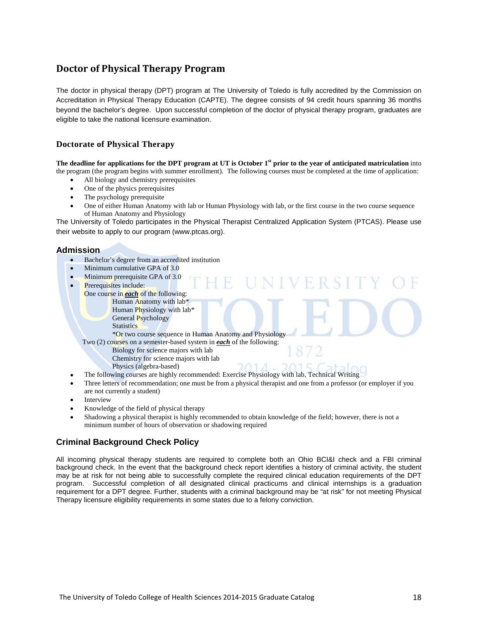# **Doctor of Physical Therapy Program**

The doctor in physical therapy (DPT) program at The University of Toledo is fully accredited by the Commission on Accreditation in Physical Therapy Education (CAPTE). The degree consists of 94 credit hours spanning 36 months beyond the bachelor's degree. Upon successful completion of the doctor of physical therapy program, graduates are eligible to take the national licensure examination.

#### **Doctorate of Physical Therapy**

**The deadline for applications for the DPT program at UT is October 1st prior to the year of anticipated matriculation** into the program (the program begins with summer enrollment). The following courses must be completed at the time of application:

- All biology and chemistry prerequisites
- One of the physics prerequisites
- The psychology prerequisite
- One of either Human Anatomy with lab or Human Physiology with lab, or the first course in the two course sequence of Human Anatomy and Physiology

VFRS

The University of Toledo participates in the Physical Therapist Centralized Application System (PTCAS). Please use their website to apply to our program [\(www.ptcas.org\)](http://www.ptcas.org/).

#### **Admission**

- Bachelor's degree from an accredited institution
- Minimum cumulative GPA of 3.0
- Minimum prerequisite GPA of 3.0
- Prerequisites include:
	- One course in *each* of the following: Human Anatomy with lab\*
		- Human Physiology with lab\* General Psychology
		- **Statistics**

\*Or two course sequence in Human Anatomy and Physiology

Two (2) courses on a semester-based system in *each* of the following:

- Biology for science majors with lab
- Chemistry for science majors with lab
- Physics (algebra-based)
- The following courses are highly recommended: Exercise Physiology with lab, Technical Writing
- Three letters of recommendation; one must be from a physical therapist and one from a professor (or employer if you are not currently a student)
- **Interview**
- Knowledge of the field of physical therapy
- Shadowing a physical therapist is highly recommended to obtain knowledge of the field; however, there is not a minimum number of hours of observation or shadowing required

### **Criminal Background Check Policy**

All incoming physical therapy students are required to complete both an Ohio BCI&I check and a FBI criminal background check. In the event that the background check report identifies a history of criminal activity, the student may be at risk for not being able to successfully complete the required clinical education requirements of the DPT program. Successful completion of all designated clinical practicums and clinical internships is a graduation requirement for a DPT degree. Further, students with a criminal background may be "at risk" for not meeting Physical Therapy licensure eligibility requirements in some states due to a felony conviction.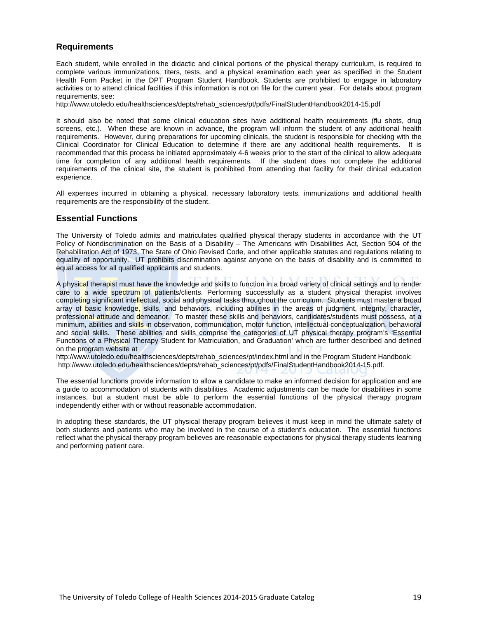#### **Requirements**

Each student, while enrolled in the didactic and clinical portions of the physical therapy curriculum, is required to complete various immunizations, titers, tests, and a physical examination each year as specified in the Student Health Form Packet in the DPT Program Student Handbook. Students are prohibited to engage in laboratory activities or to attend clinical facilities if this information is not on file for the current year. For details about program requirements, see:

[http://www.utoledo.edu/healthsciences/depts/rehab\\_sciences/pt/pdfs/FinalStudentHandbook2014-15.pdf](http://www.utoledo.edu/healthsciences/depts/rehab_sciences/pt/pdfs/FinalStudentHandbook2014-15.pdf)

It should also be noted that some clinical education sites have additional health requirements (flu shots, drug screens, etc.). When these are known in advance, the program will inform the student of any additional health requirements. However, during preparations for upcoming clinicals, the student is responsible for checking with the Clinical Coordinator for Clinical Education to determine if there are any additional health requirements. It is recommended that this process be initiated approximately 4-6 weeks prior to the start of the clinical to allow adequate time for completion of any additional health requirements. If the student does not complete the additional requirements of the clinical site, the student is prohibited from attending that facility for their clinical education experience.

All expenses incurred in obtaining a physical, necessary laboratory tests, immunizations and additional health requirements are the responsibility of the student.

#### **Essential Functions**

The University of Toledo admits and matriculates qualified physical therapy students in accordance with the UT Policy of Nondiscrimination on the Basis of a Disability – The Americans with Disabilities Act, Section 504 of the Rehabilitation Act of 1973, The State of Ohio Revised Code, and other applicable statutes and regulations relating to equality of opportunity. UT prohibits discrimination against anyone on the basis of disability and is committed to equal access for all qualified applicants and students.

A physical therapist must have the knowledge and skills to function in a broad variety of clinical settings and to render care to a wide spectrum of patients/clients. Performing successfully as a student physical therapist involves completing significant intellectual, social and physical tasks throughout the curriculum. Students must master a broad array of basic knowledge, skills, and behaviors, including abilities in the areas of judgment, integrity, character, professional attitude and demeanor. To master these skills and behaviors, candidates/students must possess, at a minimum, abilities and skills in observation, communication, motor function, intellectual-conceptualization, behavioral and social skills. These abilities and skills comprise the categories of UT physical therapy program's 'Essential Functions of a Physical Therapy Student for Matriculation, and Graduation' which are further described and defined on the program website at

http://www.utoledo.edu/healthsciences/depts/rehab\_sciences/pt/index.html and in the Program Student Handbook: http://www.utoledo.edu/healthsciences/depts/rehab\_sciences/pt/pdfs/FinalStudentHandbook2014-15.pdf.

The essential functions provide information to allow a candidate to make an informed decision for application and are a guide to accommodation of students with disabilities. Academic adjustments can be made for disabilities in some instances, but a student must be able to perform the essential functions of the physical therapy program independently either with or without reasonable accommodation.

In adopting these standards, the UT physical therapy program believes it must keep in mind the ultimate safety of both students and patients who may be involved in the course of a student's education. The essential functions reflect what the physical therapy program believes are reasonable expectations for physical therapy students learning and performing patient care.